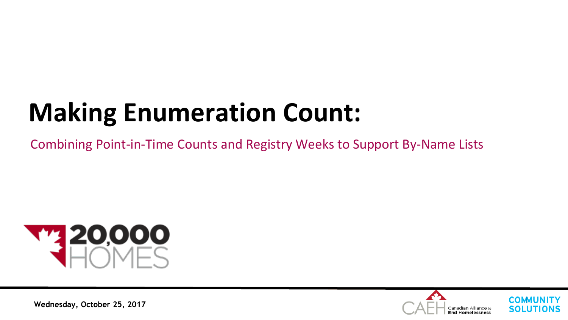# **Making Enumeration Count:**

Combining Point-in-Time Counts and Registry Weeks to Support By-Name Lists





**Wednesday, October 25, 2017**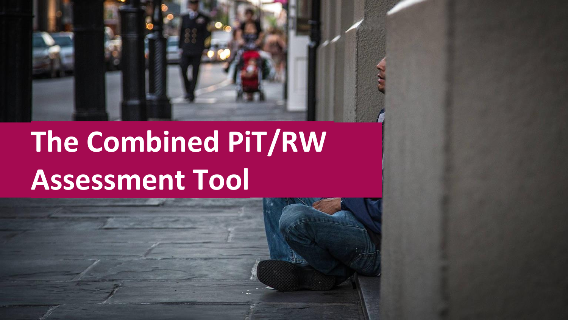

# **The Combined PiT/RW Assessment Tool**

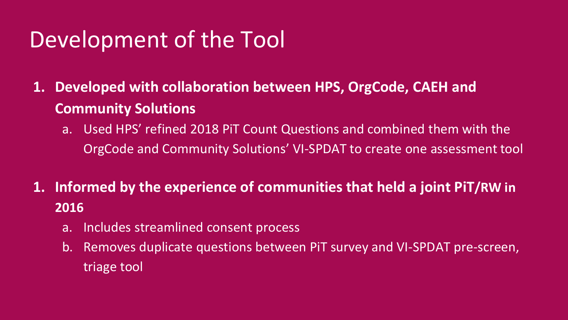#### Development of the Tool

**1. Developed with collaboration between HPS, OrgCode, CAEH and Community Solutions** 

a. Used HPS' refined 2018 PiT Count Questions and combined them with the OrgCode and Community Solutions' VI-SPDAT to create one assessment tool

**1. Informed by the experience of communities that held a joint PiT/RW in 2016**

- a. Includes streamlined consent process
- b. Removes duplicate questions between PiT survey and VI-SPDAT pre-screen, triage tool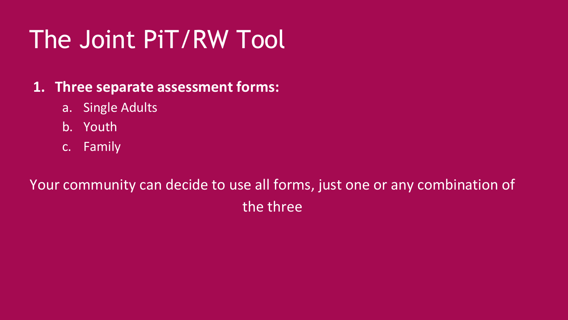# The Joint PiT/RW Tool

#### **1. Three separate assessment forms:**

- a. Single Adults
- b. Youth
- c. Family

#### Your community can decide to use all forms, just one or any combination of the three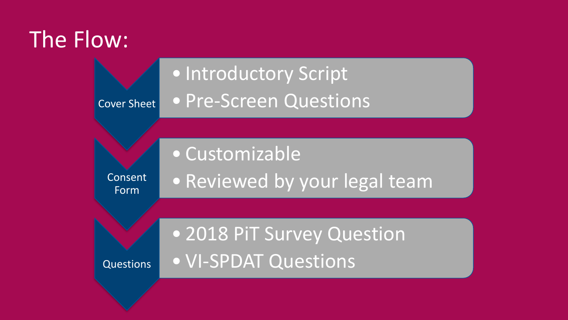#### The Flow:

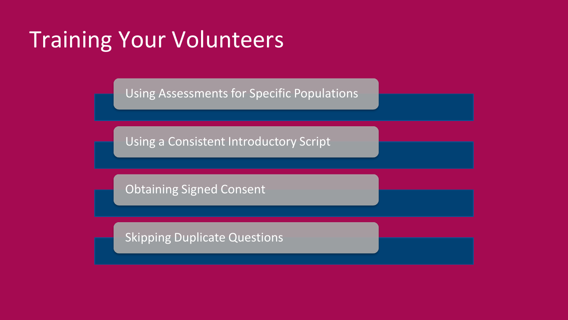#### Training Your Volunteers

Using Assessments for Specific Populations

Using a Consistent Introductory Script

Obtaining Signed Consent

Skipping Duplicate Questions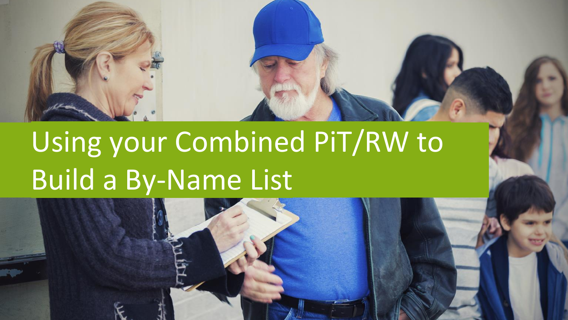

# Using your Combined PiT/RW to Build a By-Name List

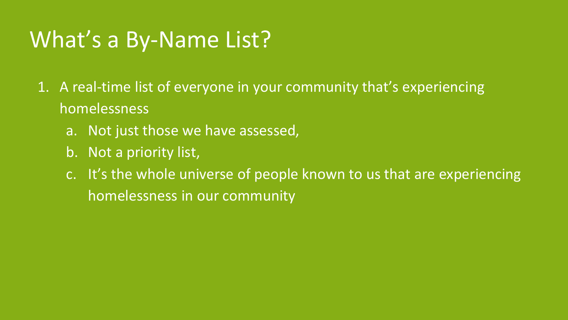#### What's a By-Name List?

- 1. A real-time list of everyone in your community that's experiencing homelessness
	- a. Not just those we have assessed,
	- b. Not a priority list,
	- c. It's the whole universe of people known to us that are experiencing homelessness in our community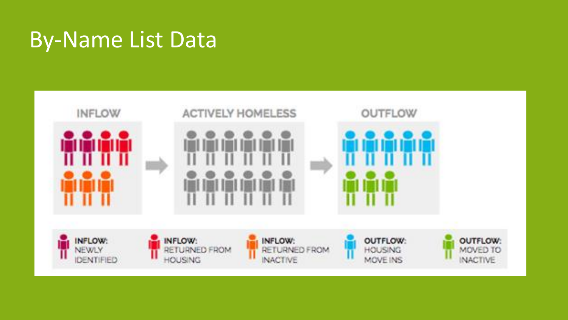#### By-Name List Data

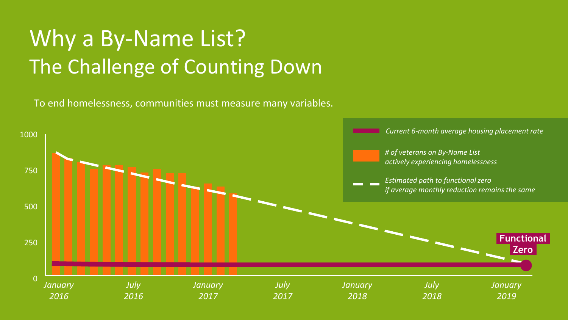### Why a By-Name List? The Challenge of Counting Down

To end homelessness, communities must measure many variables.

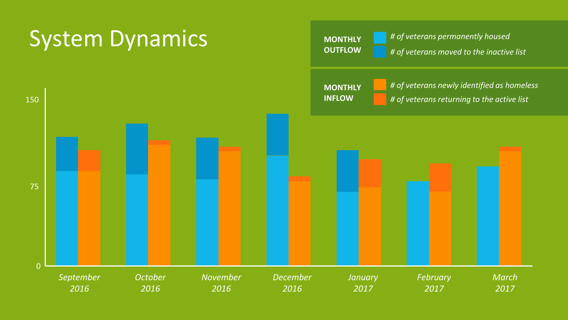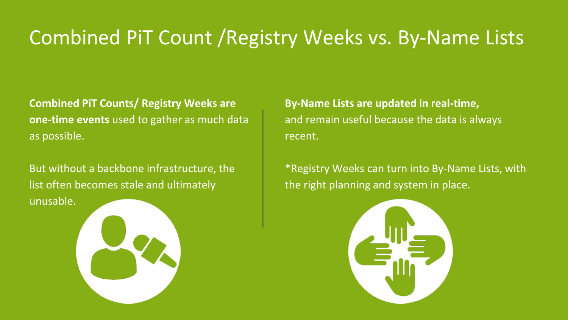#### Combined PiT Count /Registry Weeks vs. By-Name Lists

**Combined PiT Counts/ Registry Weeks are one-time events** used to gather as much data as possible.

But without a backbone infrastructure, the list often becomes stale and ultimately unusable.

**By-Name Lists are updated in real-time,** and remain useful because the data is always recent.

\*Registry Weeks can turn into By-Name Lists, with the right planning and system in place.

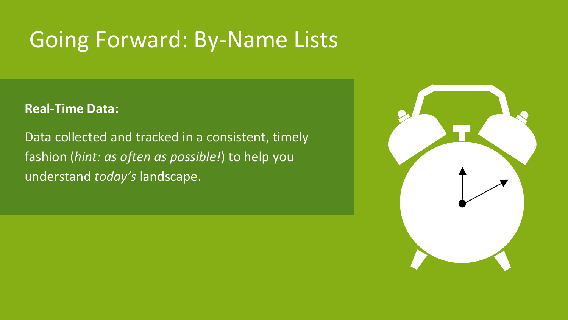#### Going Forward: By-Name Lists

#### **Real-Time Data:**

Data collected and tracked in a consistent, timely fashion (*hint: as often as possible!*) to help you understand *today's* landscape.

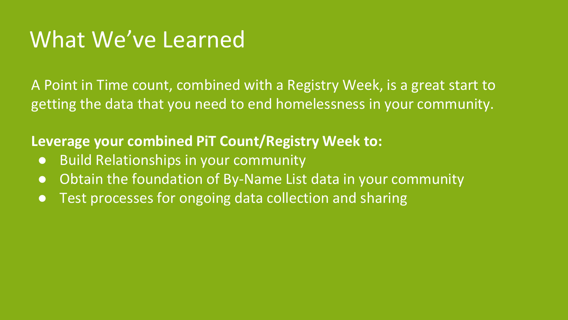#### What We've Learned

A Point in Time count, combined with a Registry Week, is a great start to getting the data that you need to end homelessness in your community.

**Leverage your combined PiT Count/Registry Week to:** 

- Build Relationships in your community
- Obtain the foundation of By-Name List data in your community
- Test processes for ongoing data collection and sharing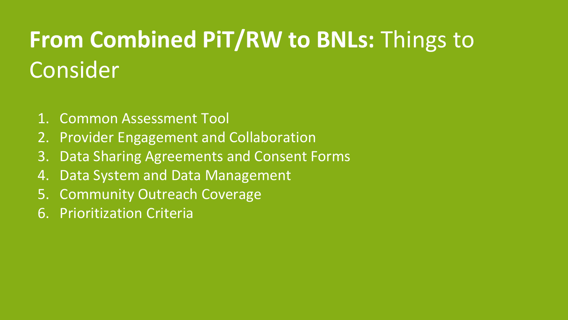## **From Combined PiT/RW to BNLs:** Things to Consider

- 1. Common Assessment Tool
- 2. Provider Engagement and Collaboration
- 3. Data Sharing Agreements and Consent Forms
- 4. Data System and Data Management
- 5. Community Outreach Coverage
- 6. Prioritization Criteria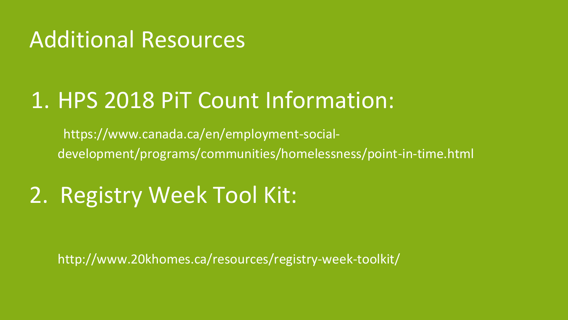#### Additional Resources

#### 1. HPS 2018 PiT Count Information:

https://www.canada.ca/en/employment-socialdevelopment/programs/communities/homelessness/point-in-time.html

### 2. Registry Week Tool Kit:

http://www.20khomes.ca/resources/registry-week-toolkit/